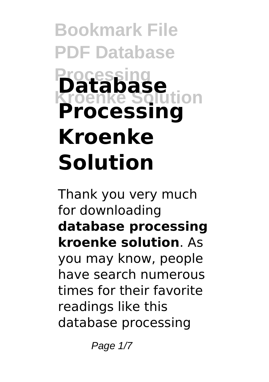# **Bookmark File PDF Database Processing Kroenke Solution Database Processing Kroenke Solution**

Thank you very much for downloading **database processing kroenke solution**. As you may know, people have search numerous times for their favorite readings like this database processing

Page 1/7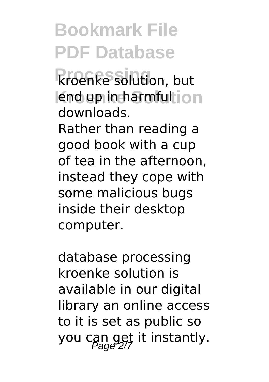## **Bookmark File PDF Database**

**Processing** kroenke solution, but lend up in harmful ion downloads.

Rather than reading a good book with a cup of tea in the afternoon, instead they cope with some malicious bugs inside their desktop computer.

database processing kroenke solution is available in our digital library an online access to it is set as public so you can get it instantly.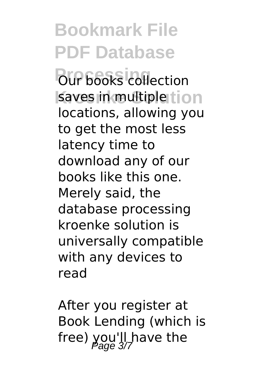**Bookmark File PDF Database Pour books** collection saves in multiple tion locations, allowing you to get the most less latency time to download any of our books like this one. Merely said, the database processing kroenke solution is universally compatible with any devices to read

After you register at Book Lending (which is free) you'll have the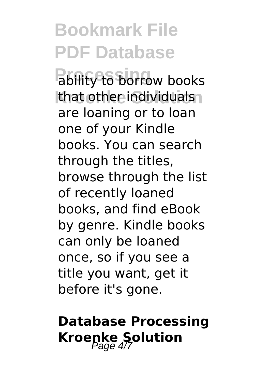**Bookmark File PDF Database** ability to borrow books that other individuals are loaning or to loan one of your Kindle books. You can search through the titles, browse through the list of recently loaned books, and find eBook by genre. Kindle books can only be loaned once, so if you see a title you want, get it before it's gone.

### **Database Processing Kroenke Solution**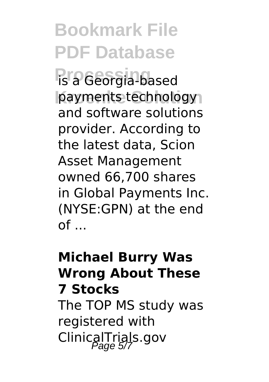## **Bookmark File PDF Database**

**Processing** is a Georgia-based payments technology and software solutions provider. According to the latest data, Scion Asset Management owned 66,700 shares in Global Payments Inc. (NYSE:GPN) at the end  $of \dots$ 

#### **Michael Burry Was Wrong About These 7 Stocks** The TOP MS study was registered with ClinicalTrials.gov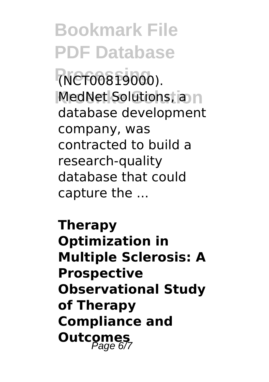**Bookmark File PDF Database Processing** (NCT00819000). **MedNet Solutions, and** database development company, was contracted to build a research-quality database that could capture the ...

**Therapy Optimization in Multiple Sclerosis: A Prospective Observational Study of Therapy Compliance and Outcomes**